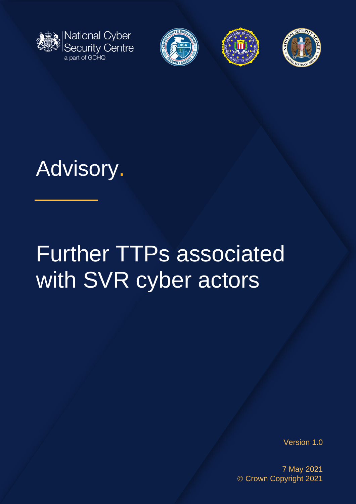







# Advisory.

# Further TTPs associated with SVR cyber actors

Version 1.0

7 May 2021 © Crown Copyright 2021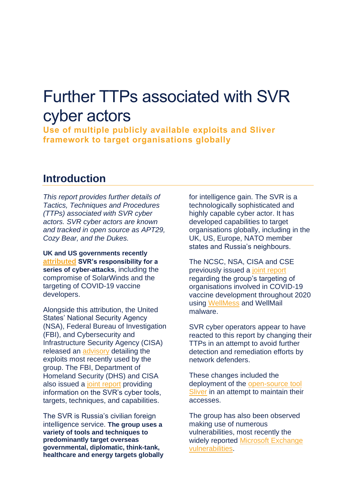## Further TTPs associated with SVR cyber actors

**Use of multiple publicly available exploits and Sliver framework to target organisations globally** 

## **Introduction**

*This report provides further details of Tactics, Techniques and Procedures (TTPs) associated with SVR cyber actors. SVR cyber actors are known and tracked in open source as APT29, Cozy Bear, and the Dukes.* 

**UK and US governments recently [attributed](https://www.ncsc.gov.uk/news/uk-and-us-call-out-russia-for-solarwinds-compromise) SVR's responsibility for a series of cyber-attacks**, including the compromise of SolarWinds and the targeting of COVID-19 vaccine developers.

Alongside this attribution, the United States' National Security Agency (NSA), Federal Bureau of Investigation (FBI), and Cybersecurity and Infrastructure Security Agency (CISA) released an [advisory](https://media.defense.gov/2021/Apr/15/2002621240/-1/-1/0/CSA_SVR_TARGETS_US_ALLIES_UOO13234021.PDF) detailing the exploits most recently used by the group. The FBI, Department of Homeland Security (DHS) and CISA also issued a [joint report](https://us-cert.cisa.gov/ncas/alerts/aa21-116a) providing information on the SVR's cyber tools, targets, techniques, and capabilities.

The SVR is Russia's civilian foreign intelligence service. **The group uses a variety of tools and techniques to predominantly target overseas governmental, diplomatic, think-tank, healthcare and energy targets globally** for intelligence gain. The SVR is a technologically sophisticated and highly capable cyber actor. It has developed capabilities to target organisations globally, including in the UK, US, Europe, NATO member states and Russia's neighbours.

The NCSC, NSA, CISA and CSE previously issued a [joint report](https://www.ncsc.gov.uk/news/advisory-apt29-targets-covid-19-vaccine-development) regarding the group's targeting of organisations involved in COVID-19 vaccine development throughout 2020 using [WellMess](https://blogs.jpcert.or.jp/en/2018/07/malware-wellmes-9b78.html) and WellMail malware.

SVR cyber operators appear to have reacted to this report by changing their TTPs in an attempt to avoid further detection and remediation efforts by network defenders.

These changes included the deployment of the [open-source tool](https://github.com/BishopFox/sliver)  [Sliver](https://github.com/BishopFox/sliver) in an attempt to maintain their accesses.

The group has also been observed making use of numerous vulnerabilities, most recently the widely reported Microsoft Exchange [vulnerabilities.](https://www.ncsc.gov.uk/news/advice-following-microsoft-vulnerabilities-exploitation)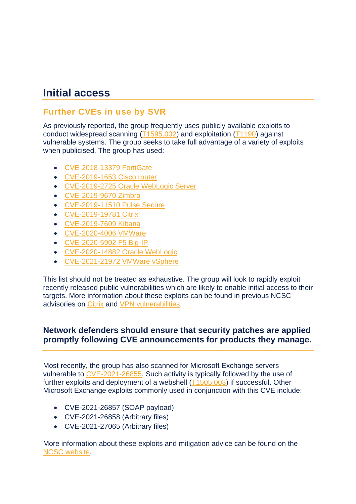## **Initial access**

## **Further CVEs in use by SVR**

As previously reported, the group frequently uses publicly available exploits to conduct widespread scanning [\(T1595.002\)](https://attack.mitre.org/techniques/T1595/002/) and exploitation [\(T1190\)](https://attack.mitre.org/techniques/T1190/) against vulnerable systems. The group seeks to take full advantage of a variety of exploits when publicised. The group has used:

- [CVE-2018-13379 FortiGate](https://www.ncsc.gov.uk/news/critical-risk-unpatched-fortinet-vpn-devices)
- [CVE-2019-1653 Cisco router](https://tools.cisco.com/security/center/content/CiscoSecurityAdvisory/cisco-sa-20190123-rv-info)
- [CVE-2019-2725 Oracle WebLogic Server](https://www.oracle.com/security-alerts/alert-cve-2019-2725.html)
- [CVE-2019-9670 Zimbra](https://nvd.nist.gov/vuln/detail/CVE-2019-9670)
- [CVE-2019-11510 Pulse Secure](https://www.ncsc.gov.uk/news/alert-vpn-vulnerabilities)
- [CVE-2019-19781 Citrix](https://www.ncsc.gov.uk/news/citrix-alert)
- [CVE-2019-7609 Kibana](https://discuss.elastic.co/t/elastic-stack-6-6-1-an-5-6-15-security-update/169077)
- [CVE-2020-4006 VMWare](https://www.vmware.com/security/advisories/VMSA-2020-0027.html)
- [CVE-2020-5902 F5 Big-IP](https://support.f5.com/csp/article/K52145254)
- [CVE-2020-14882 Oracle WebLogic](https://nvd.nist.gov/vuln/detail/CVE-2020-14882)
- [CVE-2021-21972 VMWare vSphere](https://www.vmware.com/security/advisories/VMSA-2021-0002.html)

This list should not be treated as exhaustive. The group will look to rapidly exploit recently released public vulnerabilities which are likely to enable initial access to their targets. More information about these exploits can be found in previous NCSC advisories on [Citrix](https://www.ncsc.gov.uk/news/citrix-alert) and [VPN vulnerabilities.](https://www.ncsc.gov.uk/news/alert-vpn-vulnerabilities)

## **Network defenders should ensure that security patches are applied promptly following CVE announcements for products they manage.**

Most recently, the group has also scanned for Microsoft Exchange servers vulnerable to [CVE-2021-26855.](https://www.microsoft.com/security/blog/2021/03/02/hafnium-targeting-exchange-servers) Such activity is typically followed by the use of further exploits and deployment of a webshell [\(T1505.003\)](https://attack.mitre.org/techniques/T1505/003/) if successful. Other Microsoft Exchange exploits commonly used in conjunction with this CVE include:

- CVE-2021-26857 (SOAP payload)
- CVE-2021-26858 (Arbitrary files)
- CVE-2021-27065 (Arbitrary files)

More information about these exploits and mitigation advice can be found on the [NCSC website.](https://www.ncsc.gov.uk/news/advice-following-microsoft-vulnerabilities-exploitation)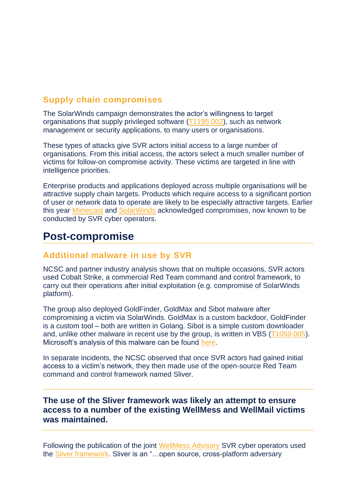## **Supply chain compromises**

The SolarWinds campaign demonstrates the actor's willingness to target organisations that supply privileged software [\(T1195.002\)](https://attack.mitre.org/techniques/T1195/002/), such as network management or security applications, to many users or organisations.

These types of attacks give SVR actors initial access to a large number of organisations. From this initial access, the actors select a much smaller number of victims for follow-on compromise activity. These victims are targeted in line with intelligence priorities.

Enterprise products and applications deployed across multiple organisations will be attractive supply chain targets. Products which require access to a significant portion of user or network data to operate are likely to be especially attractive targets. Earlier this year [Mimecast](https://www.mimecast.com/incident-report/) and [SolarWinds](https://www.solarwinds.com/sa-overview/securityadvisory) acknowledged compromises, now known to be conducted by SVR cyber operators.

## **Post-compromise**

#### **Additional malware in use by SVR**

NCSC and partner industry analysis shows that on multiple occasions, SVR actors used Cobalt Strike, a commercial Red Team command and control framework, to carry out their operations after initial exploitation (e.g. compromise of SolarWinds platform).

The group also deployed GoldFinder, GoldMax and Sibot malware after compromising a victim via SolarWinds. GoldMax is a custom backdoor, GoldFinder is a custom tool – both are written in Golang. Sibot is a simple custom downloader and, unlike other malware in recent use by the group, is written in VBS [\(T1059.005\)](https://attack.mitre.org/techniques/T1059/005/). Microsoft's analysis of this malware can be found [here.](https://www.microsoft.com/security/blog/2021/03/04/goldmax-goldfinder-sibot-analyzing-nobelium-malware/)

In separate incidents, the NCSC observed that once SVR actors had gained initial access to a victim's network, they then made use of the open-source Red Team command and control framework named Sliver.

#### **The use of the Sliver framework was likely an attempt to ensure access to a number of the existing WellMess and WellMail victims was maintained.**

Following the publication of the joint [WellMess Advisory](https://www.ncsc.gov.uk/news/advisory-apt29-targets-covid-19-vaccine-development) SVR cyber operators used the [Sliver framework.](https://github.com/BishopFox/sliver) Sliver is an "…open source, cross-platform adversary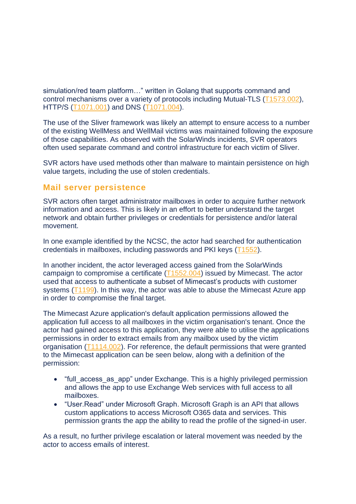simulation/red team platform…" written in Golang that supports command and control mechanisms over a variety of protocols including Mutual-TLS [\(T1573.002\)](https://attack.mitre.org/techniques/T1573/002/), HTTP/S [\(T1071.001\)](https://attack.mitre.org/techniques/T1071/001/) and DNS [\(T1071.004\)](https://attack.mitre.org/techniques/T1071/004/).

The use of the Sliver framework was likely an attempt to ensure access to a number of the existing WellMess and WellMail victims was maintained following the exposure of those capabilities. As observed with the SolarWinds incidents, SVR operators often used separate command and control infrastructure for each victim of Sliver.

SVR actors have used methods other than malware to maintain persistence on high value targets, including the use of stolen credentials.

#### **Mail server persistence**

SVR actors often target administrator mailboxes in order to acquire further network information and access. This is likely in an effort to better understand the target network and obtain further privileges or credentials for persistence and/or lateral movement.

In one example identified by the NCSC, the actor had searched for authentication credentials in mailboxes, including passwords and PKI keys [\(T1552\)](https://attack.mitre.org/techniques/T1552/).

In another incident, the actor leveraged access gained from the SolarWinds campaign to compromise a certificate [\(T1552.004\)](https://attack.mitre.org/techniques/T1552/004) issued by Mimecast. The actor used that access to authenticate a subset of Mimecast's products with customer systems [\(T1199\)](https://attack.mitre.org/techniques/T1199). In this way, the actor was able to abuse the Mimecast Azure app in order to compromise the final target.

The Mimecast Azure application's default application permissions allowed the application full access to all mailboxes in the victim organisation's tenant. Once the actor had gained access to this application, they were able to utilise the applications permissions in order to extract emails from any mailbox used by the victim organisation [\(T1114.002\)](https://attack.mitre.org/techniques/T1114/002). For reference, the default permissions that were granted to the Mimecast application can be seen below, along with a definition of the permission:

- "full access as app" under Exchange. This is a highly privileged permission and allows the app to use Exchange Web services with full access to all mailboxes.
- "User.Read" under Microsoft Graph. Microsoft Graph is an API that allows custom applications to access Microsoft O365 data and services. This permission grants the app the ability to read the profile of the signed-in user.

As a result, no further privilege escalation or lateral movement was needed by the actor to access emails of interest.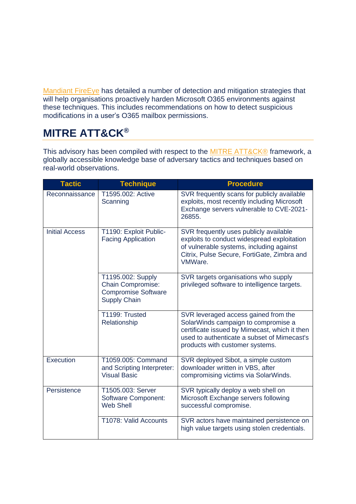[Mandiant FireEye](https://www.fireeye.com/blog/threat-research/2021/01/remediation-and-hardening-strategies-for-microsoft-365-to-defend-against-unc2452.html) has detailed a number of detection and mitigation strategies that will help organisations proactively harden Microsoft O365 environments against these techniques. This includes recommendations on how to detect suspicious modifications in a user's O365 mailbox permissions.

## **MITRE ATT&CK®**

This advisory has been compiled with respect to the **MITRE ATT&CK®** framework, a globally accessible knowledge base of adversary tactics and techniques based on real-world observations.

| <b>Tactic</b>         | <b>Technique</b>                                                                                   | <b>Procedure</b>                                                                                                                                                                                               |
|-----------------------|----------------------------------------------------------------------------------------------------|----------------------------------------------------------------------------------------------------------------------------------------------------------------------------------------------------------------|
| Reconnaissance        | T1595.002: Active<br>Scanning                                                                      | SVR frequently scans for publicly available<br>exploits, most recently including Microsoft<br>Exchange servers vulnerable to CVE-2021-<br>26855.                                                               |
| <b>Initial Access</b> | T1190: Exploit Public-<br><b>Facing Application</b>                                                | SVR frequently uses publicly available<br>exploits to conduct widespread exploitation<br>of vulnerable systems, including against<br>Citrix, Pulse Secure, FortiGate, Zimbra and<br>VMWare.                    |
|                       | T1195.002: Supply<br><b>Chain Compromise:</b><br><b>Compromise Software</b><br><b>Supply Chain</b> | SVR targets organisations who supply<br>privileged software to intelligence targets.                                                                                                                           |
|                       | T1199: Trusted<br>Relationship                                                                     | SVR leveraged access gained from the<br>SolarWinds campaign to compromise a<br>certificate issued by Mimecast, which it then<br>used to authenticate a subset of Mimecast's<br>products with customer systems. |
| Execution             | T1059.005: Command<br>and Scripting Interpreter:<br><b>Visual Basic</b>                            | SVR deployed Sibot, a simple custom<br>downloader written in VBS, after<br>compromising victims via SolarWinds.                                                                                                |
| Persistence           | T1505.003: Server<br><b>Software Component:</b><br><b>Web Shell</b>                                | SVR typically deploy a web shell on<br>Microsoft Exchange servers following<br>successful compromise.                                                                                                          |
|                       | T1078: Valid Accounts                                                                              | SVR actors have maintained persistence on<br>high value targets using stolen credentials.                                                                                                                      |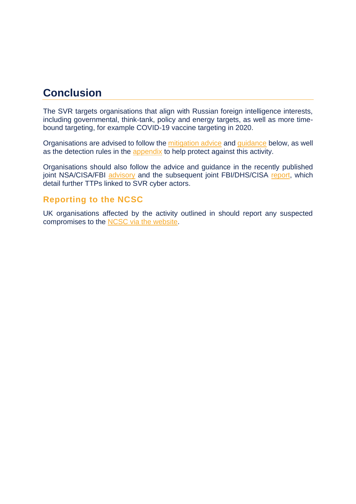## **Conclusion**

The SVR targets organisations that align with Russian foreign intelligence interests, including governmental, think-tank, policy and energy targets, as well as more timebound targeting, for example COVID-19 vaccine targeting in 2020.

Organisations are advised to follow the [mitigation advice](#page-7-0) and [guidance](#page-8-0) below, as well as the detection rules in the [appendix](#page-9-0) to help protect against this activity.

Organisations should also follow the advice and guidance in the recently published joint NSA/CISA/FBI [advisory](https://media.defense.gov/2021/Apr/15/2002621240/-1/-1/0/CSA_SVR_TARGETS_US_ALLIES_UOO13234021.PDF) and the subsequent joint FBI/DHS/CISA [report,](https://us-cert.cisa.gov/ncas/alerts/aa21-116a) which detail further TTPs linked to SVR cyber actors.

## **Reporting to the NCSC**

UK organisations affected by the activity outlined in should report any suspected compromises to the [NCSC via the website.](https://report.ncsc.gov.uk/)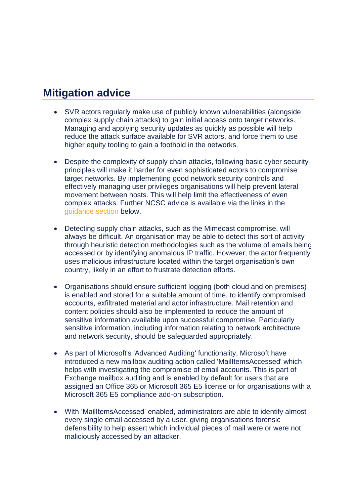## <span id="page-7-0"></span>**Mitigation advice**

- SVR actors regularly make use of publicly known vulnerabilities (alongside complex supply chain attacks) to gain initial access onto target networks. Managing and applying security updates as quickly as possible will help reduce the attack surface available for SVR actors, and force them to use higher equity tooling to gain a foothold in the networks.
- Despite the complexity of supply chain attacks, following basic cyber security principles will make it harder for even sophisticated actors to compromise target networks. By implementing good network security controls and effectively managing user privileges organisations will help prevent lateral movement between hosts. This will help limit the effectiveness of even complex attacks. Further NCSC advice is available via the links in the [guidance section](#page-8-0) below.
- Detecting supply chain attacks, such as the Mimecast compromise, will always be difficult. An organisation may be able to detect this sort of activity through heuristic detection methodologies such as the volume of emails being accessed or by identifying anomalous IP traffic. However, the actor frequently uses malicious infrastructure located within the target organisation's own country, likely in an effort to frustrate detection efforts.
- Organisations should ensure sufficient logging (both cloud and on premises) is enabled and stored for a suitable amount of time, to identify compromised accounts, exfiltrated material and actor infrastructure. Mail retention and content policies should also be implemented to reduce the amount of sensitive information available upon successful compromise. Particularly sensitive information, including information relating to network architecture and network security, should be safeguarded appropriately.
- As part of Microsoft's 'Advanced Auditing' functionality, Microsoft have introduced a new mailbox auditing action called 'MailItemsAccessed' which helps with investigating the compromise of email accounts. This is part of Exchange mailbox auditing and is enabled by default for users that are assigned an Office 365 or Microsoft 365 E5 license or for organisations with a Microsoft 365 E5 compliance add-on subscription.
- With 'MailItemsAccessed' enabled, administrators are able to identify almost every single email accessed by a user, giving organisations forensic defensibility to help assert which individual pieces of mail were or were not maliciously accessed by an attacker.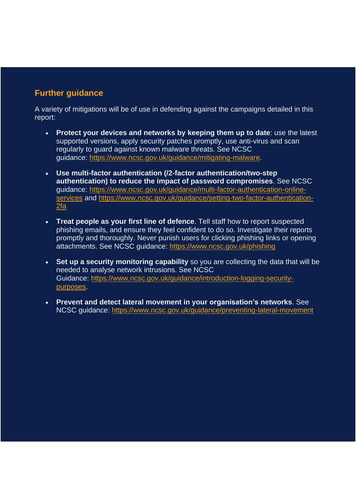## <span id="page-8-0"></span>**Further guidance**

A variety of mitigations will be of use in defending against the campaigns detailed in this report:

- **Protect your devices and networks by keeping them up to date**: use the latest supported versions, apply security patches promptly, use anti-virus and scan regularly to guard against known malware threats. See NCSC guidance: [https://www.ncsc.gov.uk/guidance/mitigating-malware.](https://www.ncsc.gov.uk/guidance/mitigating-malware)
- **Use multi-factor authentication (/2-factor authentication/two-step authentication) to reduce the impact of password compromises**. See NCSC guidance: [https://www.ncsc.gov.uk/guidance/multi-factor-authentication-online](https://www.ncsc.gov.uk/guidance/multi-factor-authentication-online-services)[services](https://www.ncsc.gov.uk/guidance/multi-factor-authentication-online-services) and [https://www.ncsc.gov.uk/guidance/setting-two-factor-authentication-](https://www.ncsc.gov.uk/guidance/setting-two-factor-authentication-2fa)[2fa](https://www.ncsc.gov.uk/guidance/setting-two-factor-authentication-2fa)
- **Treat people as your first line of defence**. Tell staff how to report suspected phishing emails, and ensure they feel confident to do so. Investigate their reports promptly and thoroughly. Never punish users for clicking phishing links or opening attachments. See NCSC guidance: <https://www.ncsc.gov.uk/phishing>
- **Set up a security monitoring capability** so you are collecting the data that will be needed to analyse network intrusions. See NCSC Guidance: [https://www.ncsc.gov.uk/guidance/introduction-logging-security](https://www.ncsc.gov.uk/guidance/introduction-logging-security-purposes)[purposes.](https://www.ncsc.gov.uk/guidance/introduction-logging-security-purposes)
- **Prevent and detect lateral movement in your organisation's networks**. See NCSC guidance: <https://www.ncsc.gov.uk/guidance/preventing-lateral-movement>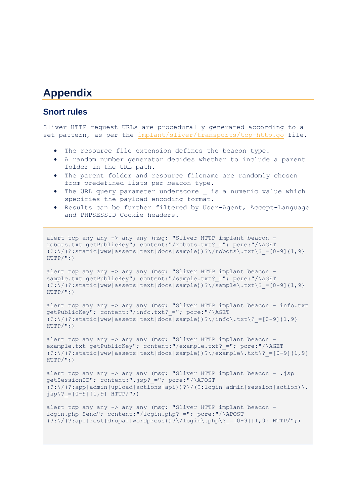## <span id="page-9-0"></span>**Appendix**

#### **Snort rules**

Sliver HTTP request URLs are procedurally generated according to a set pattern, as per the [implant/sliver/transports/tcp-http.go](https://github.com/BishopFox/sliver/blob/master/implant/sliver/transports/tcp-http.go) file.

- The resource file extension defines the beacon type.
- A random number generator decides whether to include a parent folder in the URL path.
- The parent folder and resource filename are randomly chosen from predefined lists per beacon type.
- The URL query parameter underscore \_ is a numeric value which specifies the payload encoding format.
- Results can be further filtered by User-Agent, Accept-Language and PHPSESSID Cookie headers.

```
alert tcp any any -> any any (msg: "Sliver HTTP implant beacon -
robots.txt getPublicKey"; content:"/robots.txt?_="; pcre:"/\AGET 
(?:\)/ (?:static|www|assets|text|docs|sample))?\/\robots\.txt\? =[0-9]{1,9}
HTTP('; )
```

```
alert tcp any any -> any any (msg: "Sliver HTTP implant beacon -
sample.txt getPublicKey"; content:"/sample.txt? ="; pcre:"/\AGET
(?:\)/ (?:static|www|assets|text|docs|sample))?\/sample\.txt\? =[0-9]{1,9}
HTTP/"; )
```

```
alert tcp any any -> any any (msg: "Sliver HTTP implant beacon - info.txt
getPublicKey"; content:"/info.txt? ="; pcre:"/\AGET
(?:\)/ (?:static|www|assets|text|docs|sample))?\/info\.txt? =[0-9]{1,9}
HTTP/"; )
```
alert tcp any any -> any any (msg: "Sliver HTTP implant beacon example.txt getPublicKey"; content:"/example.txt? ="; pcre:"/\AGET  $(?:\\\}/(?:\text{static}|www|assert|text|docs|sample))?\\/example\,.txt?=[0-9]{1,9}$  $HTTP/$ "; )

alert tcp any any -> any any (msg: "Sliver HTTP implant beacon - .jsp getSessionID"; content:".jsp?\_="; pcre:"/\APOST  $(?:\)'(?:\text{app}| \text{admin}| \text{upload}| \text{actions}| \text{api}))$ ? $\lor$  (?:login|admin|session|action) $\lor$ .  $jsp$   $[0-9]{1,9}$  HTTP/";)

```
alert tcp any any -> any any (msg: "Sliver HTTP implant beacon -
login.php Send"; content:"/login.php?_="; pcre:"/\APOST 
(?:\)/ (?:\pidentlargeright) )?\/login\.php\? =[0-9]{1,9} HTTP/";)
```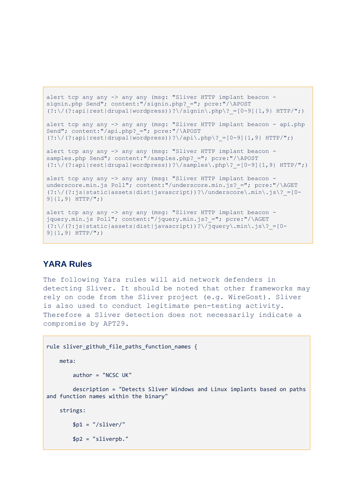```
alert tcp any any -> any any (msg: "Sliver HTTP implant beacon -
signin.php Send"; content:"/signin.php? ="; pcre:"/\APOST
(?:\)/ (?:\pidentlarupal|wordpress))?\/signin\.php\? =[0-9]{1,9} HTTP/";)
alert tcp any any -> any any (msg: "Sliver HTTP implant beacon - api.php
Send"; content:"/api.php? ="; pcre:"/\APOST
(?:\)/ (?:\pidentlest]drupal|wordpress))?\/api\.php\? =[0-9]{1,9} HTTP/";)
alert tcp any any -> any any (msg: "Sliver HTTP implant beacon -
samples.php Send"; content:"/samples.php? ="; pcre:"/\APOST
(?:\)/ (?:\/(?:api|rest|drupal|wordpress))?\/samples\.php\? =[0-9]{1,9} HTTP/";)
alert tcp any any -> any any (msg: "Sliver HTTP implant beacon -
underscore.min.js Poll"; content:"/underscore.min.js? ="; pcre:"/\AGET
(?:\/(?:js|static|assets|dist|javascript))?\/underscore\.min\.js\?_=[0-
9]{1,9} HTTP/";)
alert tcp any any -> any any (msg: "Sliver HTTP implant beacon -
jquery.min.js Poll"; content:"/jquery.min.js? ="; pcre:"/\AGET
(?:\)'(?)s|static|assets|dist|javascript))?\qquadjquery\.min\.js\? =[0-
```

```
9]{1,9} HTTP/";)
```
## **YARA Rules**

The following Yara rules will aid network defenders in detecting Sliver. It should be noted that other frameworks may rely on code from the Sliver project (e.g. WireGost). Sliver is also used to conduct legitimate pen-testing activity. Therefore a Sliver detection does not necessarily indicate a compromise by APT29.

```
rule sliver_github_file_paths_function_names {
     meta:
         author = "NCSC UK"
         description = "Detects Sliver Windows and Linux implants based on paths 
and function names within the binary"
     strings:
        $p1 = "/sliver!" $p2 = "sliverpb."
```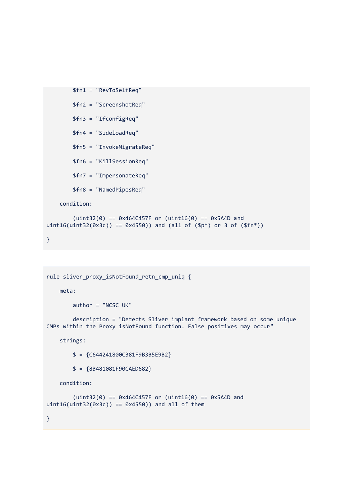```
 $fn1 = "RevToSelfReq"
         $fn2 = "ScreenshotReq"
         $fn3 = "IfconfigReq"
         $fn4 = "SideloadReq"
         $fn5 = "InvokeMigrateReq"
         $fn6 = "KillSessionReq"
         $fn7 = "ImpersonateReq"
         $fn8 = "NamedPipesReq"
     condition:
        (uint32(0) == 0x464C457F or (uint16(0) == 0x5A4D and ...)uint16(uint32(0x3c)) = 0x4550) and (all of (\$p*) or 3 of (\$fn*))
}
```

```
rule sliver_proxy_isNotFound_retn_cmp_uniq {
     meta:
         author = "NCSC UK"
         description = "Detects Sliver implant framework based on some unique 
CMPs within the Proxy isNotFound function. False positives may occur"
     strings:
         $ = {C644241800C381F9B3B5E9B2}
         $ = {8B481081F90CAED682}
     condition:
        (uint32(0) == 0x464C457F or (uint16(0) == 0x5A4D and ...)uint16(uint32(0x3c)) == 0x4550) and all of them
}
```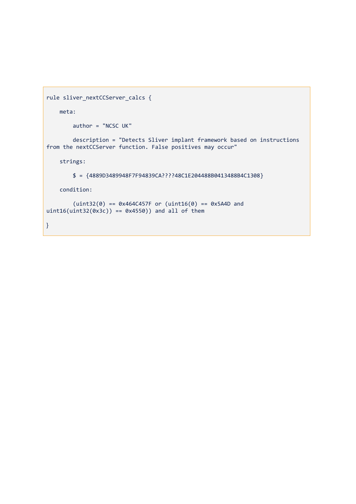```
rule sliver_nextCCServer_calcs {
     meta:
         author = "NCSC UK"
 description = "Detects Sliver implant framework based on instructions 
from the nextCCServer function. False positives may occur"
     strings:
         $ = {4889D3489948F7F94839CA????48C1E204488B0413488B4C1308}
     condition:
        (uint32(0) == 0x464C457F or (uint16(0) == 0x5A4D and
uint16(uint32(0x3c)) == 0x4550) and all of them
}
```